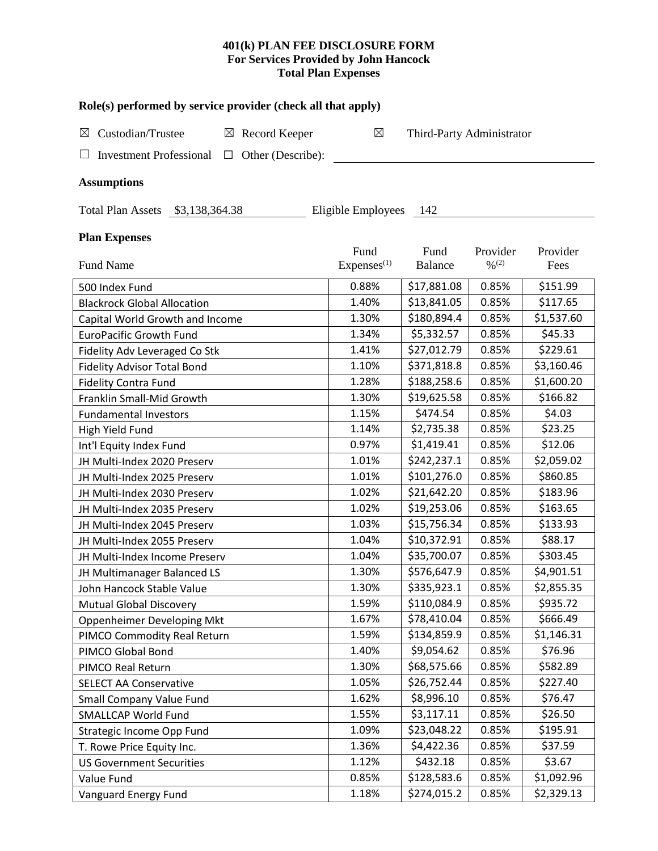# **401(k) PLAN FEE DISCLOSURE FORM For Services Provided by John Hancock Total Plan Expenses**

| Role(s) performed by service provider (check all that apply)  |                        |                           |                   |            |  |  |
|---------------------------------------------------------------|------------------------|---------------------------|-------------------|------------|--|--|
| Custodian/Trustee<br>$\boxtimes$ Record Keeper<br>$\boxtimes$ | ⊠                      | Third-Party Administrator |                   |            |  |  |
| <b>Investment Professional</b><br>$\Box$                      | Other (Describe):      |                           |                   |            |  |  |
| <b>Assumptions</b>                                            |                        |                           |                   |            |  |  |
| Total Plan Assets \$3,138,364.38                              | Eligible Employees     | - 142                     |                   |            |  |  |
| <b>Plan Expenses</b>                                          |                        |                           |                   |            |  |  |
|                                                               | Fund                   | Fund                      | Provider          | Provider   |  |  |
| <b>Fund Name</b>                                              | Express <sup>(1)</sup> | <b>Balance</b>            | $\frac{0}{2}$ (2) | Fees       |  |  |
| 500 Index Fund                                                | 0.88%                  | \$17,881.08               | 0.85%             | \$151.99   |  |  |
| <b>Blackrock Global Allocation</b>                            | 1.40%                  | \$13,841.05               | 0.85%             | \$117.65   |  |  |
| Capital World Growth and Income                               | 1.30%                  | \$180,894.4               | 0.85%             | \$1,537.60 |  |  |
| <b>EuroPacific Growth Fund</b>                                | 1.34%                  | \$5,332.57                | 0.85%             | \$45.33    |  |  |
| Fidelity Adv Leveraged Co Stk                                 | 1.41%                  | \$27,012.79               | 0.85%             | \$229.61   |  |  |
| <b>Fidelity Advisor Total Bond</b>                            | 1.10%                  | \$371,818.8               | 0.85%             | \$3,160.46 |  |  |
| <b>Fidelity Contra Fund</b>                                   | 1.28%                  | \$188,258.6               | 0.85%             | \$1,600.20 |  |  |
| Franklin Small-Mid Growth                                     | 1.30%                  | \$19,625.58               | 0.85%             | \$166.82   |  |  |
| <b>Fundamental Investors</b>                                  | 1.15%                  | \$474.54                  | 0.85%             | \$4.03\$   |  |  |
| High Yield Fund                                               | 1.14%                  | \$2,735.38                | 0.85%             | \$23.25    |  |  |
| Int'l Equity Index Fund                                       | 0.97%                  | \$1,419.41                | 0.85%             | \$12.06    |  |  |
| JH Multi-Index 2020 Preserv                                   | 1.01%                  | \$242,237.1               | 0.85%             | \$2,059.02 |  |  |
| JH Multi-Index 2025 Preserv                                   | 1.01%                  | \$101,276.0               | 0.85%             | \$860.85   |  |  |
| JH Multi-Index 2030 Preserv                                   | 1.02%                  | \$21,642.20               | 0.85%             | \$183.96   |  |  |
| JH Multi-Index 2035 Preserv                                   | 1.02%                  | \$19,253.06               | 0.85%             | \$163.65   |  |  |
| JH Multi-Index 2045 Preserv                                   | 1.03%                  | \$15,756.34               | 0.85%             | \$133.93   |  |  |
| JH Multi-Index 2055 Preserv                                   | 1.04%                  | \$10,372.91               | 0.85%             | \$88.17    |  |  |
| JH Multi-Index Income Preserv                                 | 1.04%                  | \$35,700.07               | 0.85%             | \$303.45   |  |  |
| JH Multimanager Balanced LS                                   | 1.30%                  | \$576,647.9               | 0.85%             | \$4,901.51 |  |  |
| John Hancock Stable Value                                     | 1.30%                  | \$335,923.1               | 0.85%             | \$2,855.35 |  |  |
| <b>Mutual Global Discovery</b>                                | 1.59%                  | \$110,084.9               | 0.85%             | \$935.72   |  |  |
| Oppenheimer Developing Mkt                                    | 1.67%                  | \$78,410.04               | 0.85%             | \$666.49   |  |  |
| PIMCO Commodity Real Return                                   | 1.59%                  | \$134,859.9               | 0.85%             | \$1,146.31 |  |  |
| PIMCO Global Bond                                             | 1.40%                  | \$9,054.62                | 0.85%             | \$76.96    |  |  |
| PIMCO Real Return                                             | 1.30%                  | \$68,575.66               | 0.85%             | \$582.89   |  |  |
| <b>SELECT AA Conservative</b>                                 | 1.05%                  | \$26,752.44               | 0.85%             | \$227.40   |  |  |
| <b>Small Company Value Fund</b>                               | 1.62%                  | \$8,996.10                | 0.85%             | \$76.47    |  |  |
| <b>SMALLCAP World Fund</b>                                    | 1.55%                  | \$3,117.11                | 0.85%             | \$26.50    |  |  |
| Strategic Income Opp Fund                                     | 1.09%                  | \$23,048.22               | 0.85%             | \$195.91   |  |  |
| T. Rowe Price Equity Inc.                                     | 1.36%                  | \$4,422.36                | 0.85%             | \$37.59    |  |  |
| <b>US Government Securities</b>                               | 1.12%                  | \$432.18                  | 0.85%             | \$3.67     |  |  |
| Value Fund                                                    | 0.85%                  | \$128,583.6               | 0.85%             | \$1,092.96 |  |  |
| Vanguard Energy Fund                                          | 1.18%                  | \$274,015.2               | 0.85%             | \$2,329.13 |  |  |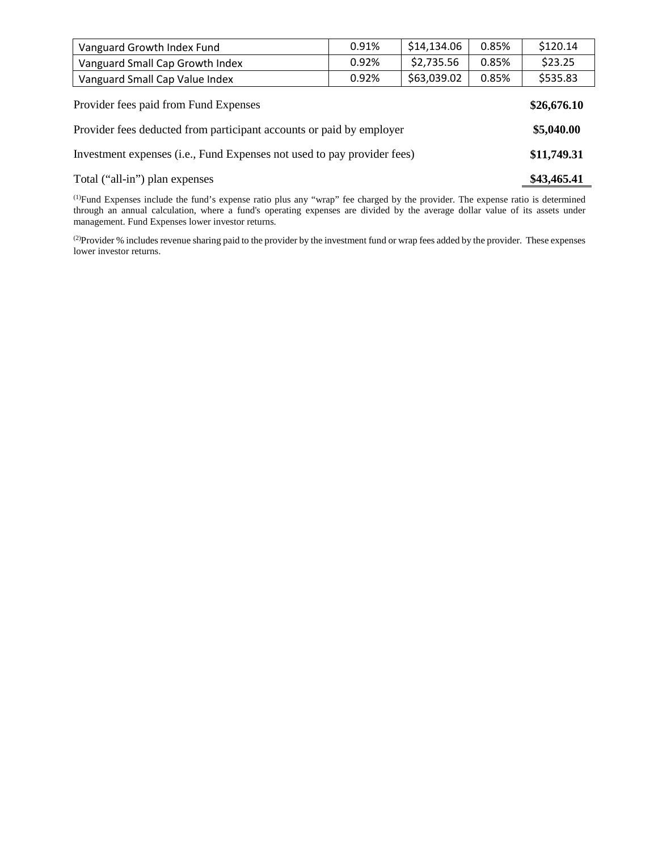| Vanguard Growth Index Fund                                              | 0.91% | \$14,134.06 | 0.85% | \$120.14 |
|-------------------------------------------------------------------------|-------|-------------|-------|----------|
| Vanguard Small Cap Growth Index                                         | 0.92% | \$2,735.56  | 0.85% | \$23.25  |
| Vanguard Small Cap Value Index                                          | 0.92% | \$63,039.02 | 0.85% | \$535.83 |
| Provider fees paid from Fund Expenses                                   |       |             |       |          |
| Provider fees deducted from participant accounts or paid by employer    |       |             |       |          |
| Investment expenses (i.e., Fund Expenses not used to pay provider fees) |       |             |       |          |

Total ("all-in") plan expenses **\$43,465.41** 

(1) Fund Expenses include the fund's expense ratio plus any "wrap" fee charged by the provider. The expense ratio is determined through an annual calculation, where a fund's operating expenses are divided by the average dollar value of its assets under management. Fund Expenses lower investor returns.

( $2$ )Provider % includes revenue sharing paid to the provider by the investment fund or wrap fees added by the provider. These expenses lower investor returns.